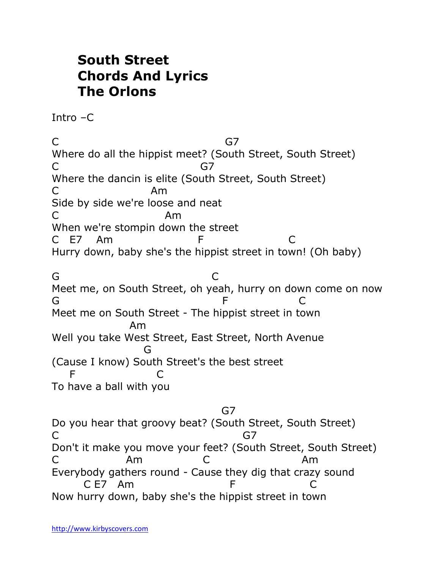## **South Street Chords And Lyrics The Orlons**

Intro –C

C G7 Where do all the hippist meet? (South Street, South Street) C<sub>a</sub> G7 Where the dancin is elite (South Street, South Street) C<sub>Am</sub> Side by side we're loose and neat C Am When we're stompin down the street C E7 Am F C Hurry down, baby she's the hippist street in town! (Oh baby) G CONTROL CONTROL CONTROL CONTROL CONTROL CONTROL CONTROL CONTROL CONTROL CONTROL CONTROL CONTROL CONTROL CONTROL CONTROL CONTROL CONTROL CONTROL CONTROL CONTROL CONTROL CONTROL CONTROL CONTROL CONTROL CONTROL CONTROL CONT Meet me, on South Street, oh yeah, hurry on down come on now G F C Meet me on South Street - The hippist street in town Am Well you take West Street, East Street, North Avenue **Green Contracts** (Cause I know) South Street's the best street F C To have a ball with you

G7 (G7) and the contract of the G7 Do you hear that groovy beat? (South Street, South Street) C<sub>3</sub> G7 Don't it make you move your feet? (South Street, South Street) C Am C Am Everybody gathers round - Cause they dig that crazy sound C F7 Am F C Now hurry down, baby she's the hippist street in town